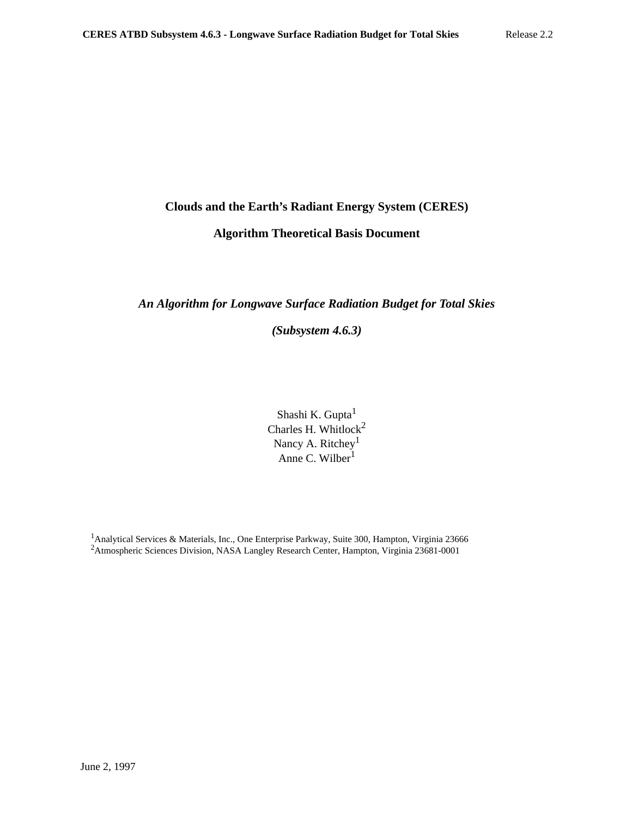# **Clouds and the Earth's Radiant Energy System (CERES)**

# **Algorithm Theoretical Basis Document**

# *An Algorithm for Longwave Surface Radiation Budget for Total Skies*

*(Subsystem 4.6.3)*

Shashi K. Gupta<sup>1</sup> Charles H. Whitlock<sup>2</sup> Nancy A. Ritchey<sup>1</sup> Anne C. Wilber $\tilde{1}$ 

<sup>1</sup>Analytical Services & Materials, Inc., One Enterprise Parkway, Suite 300, Hampton, Virginia 23666 <sup>2</sup>Atmospheric Sciences Division, NASA Langley Research Center, Hampton, Virginia 23681-0001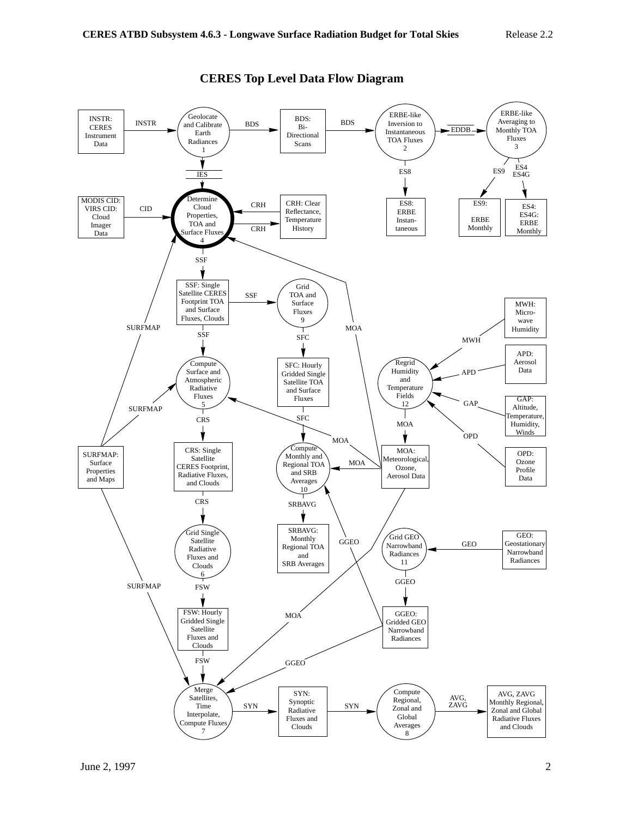

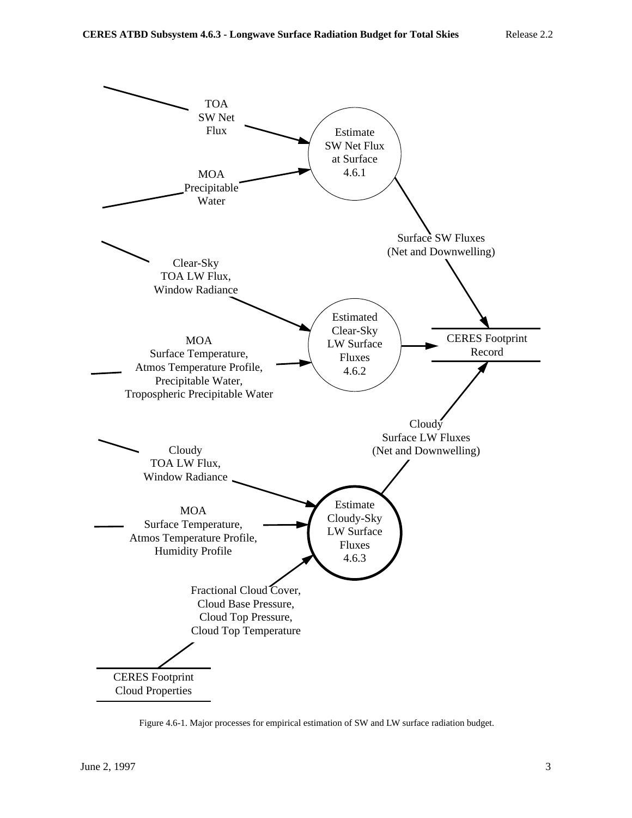

Figure 4.6-1. Major processes for empirical estimation of SW and LW surface radiation budget.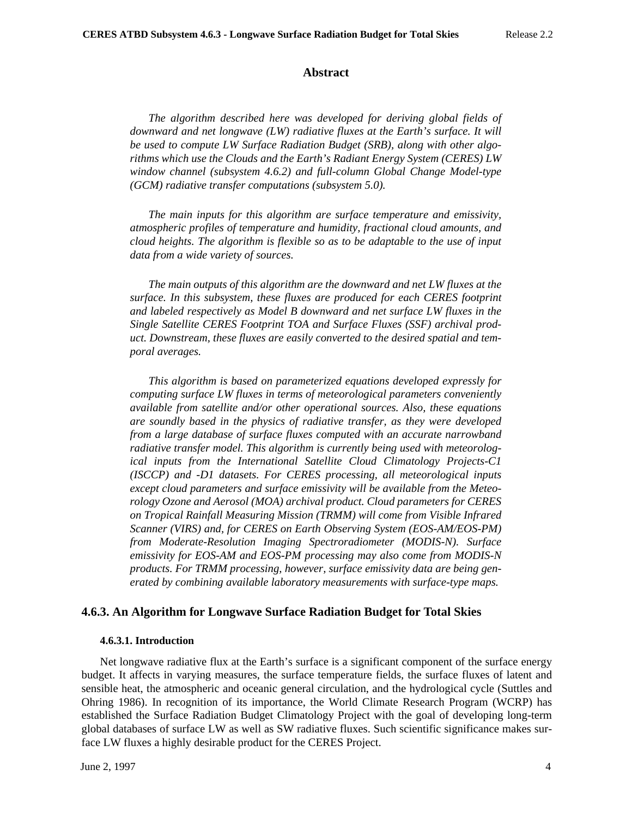### **Abstract**

*The algorithm described here was developed for deriving global fields of downward and net longwave (LW) radiative fluxes at the Earth's surface. It will be used to compute LW Surface Radiation Budget (SRB), along with other algorithms which use the Clouds and the Earth's Radiant Energy System (CERES) LW window channel (subsystem 4.6.2) and full-column Global Change Model-type (GCM) radiative transfer computations (subsystem 5.0).*

*The main inputs for this algorithm are surface temperature and emissivity, atmospheric profiles of temperature and humidity, fractional cloud amounts, and cloud heights. The algorithm is flexible so as to be adaptable to the use of input data from a wide variety of sources.*

*The main outputs of this algorithm are the downward and net LW fluxes at the surface. In this subsystem, these fluxes are produced for each CERES footprint and labeled respectively as Model B downward and net surface LW fluxes in the Single Satellite CERES Footprint TOA and Surface Fluxes (SSF) archival product. Downstream, these fluxes are easily converted to the desired spatial and temporal averages.*

*This algorithm is based on parameterized equations developed expressly for computing surface LW fluxes in terms of meteorological parameters conveniently available from satellite and/or other operational sources. Also, these equations are soundly based in the physics of radiative transfer, as they were developed from a large database of surface fluxes computed with an accurate narrowband radiative transfer model. This algorithm is currently being used with meteorological inputs from the International Satellite Cloud Climatology Projects-C1 (ISCCP) and -D1 datasets. For CERES processing, all meteorological inputs except cloud parameters and surface emissivity will be available from the Meteorology Ozone and Aerosol (MOA) archival product. Cloud parameters for CERES on Tropical Rainfall Measuring Mission (TRMM) will come from Visible Infrared Scanner (VIRS) and, for CERES on Earth Observing System (EOS-AM/EOS-PM) from Moderate-Resolution Imaging Spectroradiometer (MODIS-N). Surface emissivity for EOS-AM and EOS-PM processing may also come from MODIS-N products. For TRMM processing, however, surface emissivity data are being generated by combining available laboratory measurements with surface-type maps.*

## **4.6.3. An Algorithm for Longwave Surface Radiation Budget for Total Skies**

#### **4.6.3.1. Introduction**

Net longwave radiative flux at the Earth's surface is a significant component of the surface energy budget. It affects in varying measures, the surface temperature fields, the surface fluxes of latent and sensible heat, the atmospheric and oceanic general circulation, and the hydrological cycle (Suttles and Ohring 1986). In recognition of its importance, the World Climate Research Program (WCRP) has established the Surface Radiation Budget Climatology Project with the goal of developing long-term global databases of surface LW as well as SW radiative fluxes. Such scientific significance makes surface LW fluxes a highly desirable product for the CERES Project.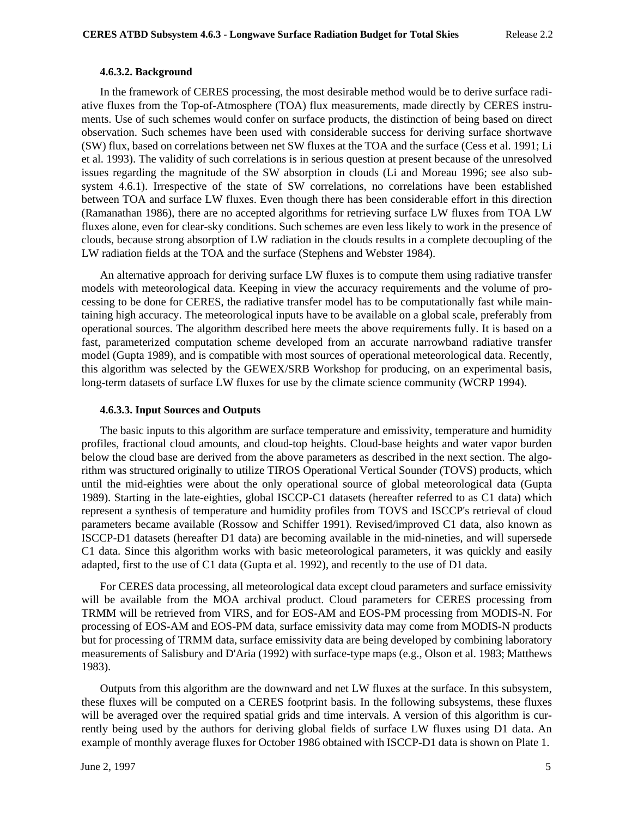#### **4.6.3.2. Background**

In the framework of CERES processing, the most desirable method would be to derive surface radiative fluxes from the Top-of-Atmosphere (TOA) flux measurements, made directly by CERES instruments. Use of such schemes would confer on surface products, the distinction of being based on direct observation. Such schemes have been used with considerable success for deriving surface shortwave (SW) flux, based on correlations between net SW fluxes at the TOA and the surface (Cess et al. 1991; Li et al. 1993). The validity of such correlations is in serious question at present because of the unresolved issues regarding the magnitude of the SW absorption in clouds (Li and Moreau 1996; see also subsystem 4.6.1). Irrespective of the state of SW correlations, no correlations have been established between TOA and surface LW fluxes. Even though there has been considerable effort in this direction (Ramanathan 1986), there are no accepted algorithms for retrieving surface LW fluxes from TOA LW fluxes alone, even for clear-sky conditions. Such schemes are even less likely to work in the presence of clouds, because strong absorption of LW radiation in the clouds results in a complete decoupling of the LW radiation fields at the TOA and the surface (Stephens and Webster 1984).

An alternative approach for deriving surface LW fluxes is to compute them using radiative transfer models with meteorological data. Keeping in view the accuracy requirements and the volume of processing to be done for CERES, the radiative transfer model has to be computationally fast while maintaining high accuracy. The meteorological inputs have to be available on a global scale, preferably from operational sources. The algorithm described here meets the above requirements fully. It is based on a fast, parameterized computation scheme developed from an accurate narrowband radiative transfer model (Gupta 1989), and is compatible with most sources of operational meteorological data. Recently, this algorithm was selected by the GEWEX/SRB Workshop for producing, on an experimental basis, long-term datasets of surface LW fluxes for use by the climate science community (WCRP 1994).

#### **4.6.3.3. Input Sources and Outputs**

The basic inputs to this algorithm are surface temperature and emissivity, temperature and humidity profiles, fractional cloud amounts, and cloud-top heights. Cloud-base heights and water vapor burden below the cloud base are derived from the above parameters as described in the next section. The algorithm was structured originally to utilize TIROS Operational Vertical Sounder (TOVS) products, which until the mid-eighties were about the only operational source of global meteorological data (Gupta 1989). Starting in the late-eighties, global ISCCP-C1 datasets (hereafter referred to as C1 data) which represent a synthesis of temperature and humidity profiles from TOVS and ISCCP's retrieval of cloud parameters became available (Rossow and Schiffer 1991). Revised/improved C1 data, also known as ISCCP-D1 datasets (hereafter D1 data) are becoming available in the mid-nineties, and will supersede C1 data. Since this algorithm works with basic meteorological parameters, it was quickly and easily adapted, first to the use of C1 data (Gupta et al. 1992), and recently to the use of D1 data.

For CERES data processing, all meteorological data except cloud parameters and surface emissivity will be available from the MOA archival product. Cloud parameters for CERES processing from TRMM will be retrieved from VIRS, and for EOS-AM and EOS-PM processing from MODIS-N. For processing of EOS-AM and EOS-PM data, surface emissivity data may come from MODIS-N products but for processing of TRMM data, surface emissivity data are being developed by combining laboratory measurements of Salisbury and D'Aria (1992) with surface-type maps (e.g., Olson et al. 1983; Matthews 1983).

Outputs from this algorithm are the downward and net LW fluxes at the surface. In this subsystem, these fluxes will be computed on a CERES footprint basis. In the following subsystems, these fluxes will be averaged over the required spatial grids and time intervals. A version of this algorithm is currently being used by the authors for deriving global fields of surface LW fluxes using D1 data. An example of monthly average fluxes for October 1986 obtained with ISCCP-D1 data is shown on Plate 1.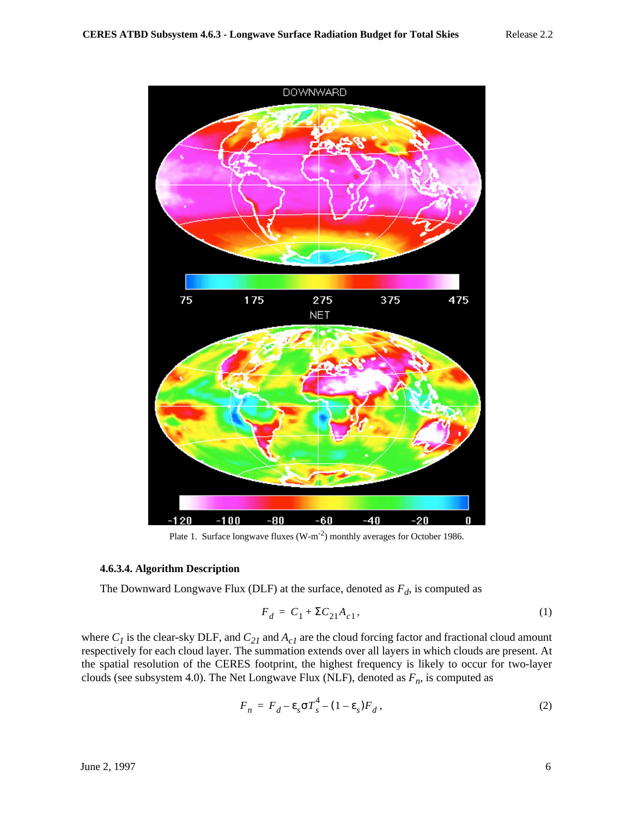

Plate 1. Surface longwave fluxes  $(W-m^{-2})$  monthly averages for October 1986.

#### **4.6.3.4. Algorithm Description**

The Downward Longwave Flux (DLF) at the surface, denoted as  $F_d$ , is computed as

$$
F_d = C_1 + \Sigma C_{21} A_{c1},\tag{1}
$$

where  $C_I$  is the clear-sky DLF, and  $C_{2I}$  and  $A_{cI}$  are the cloud forcing factor and fractional cloud amount respectively for each cloud layer. The summation extends over all layers in which clouds are present. At the spatial resolution of the CERES footprint, the highest frequency is likely to occur for two-layer clouds (see subsystem 4.0). The Net Longwave Flux (NLF), denoted as  $F_n$ , is computed as

$$
F_n = F_d - \varepsilon_s \sigma T_s^4 - (1 - \varepsilon_s) F_d,
$$
\n<sup>(2)</sup>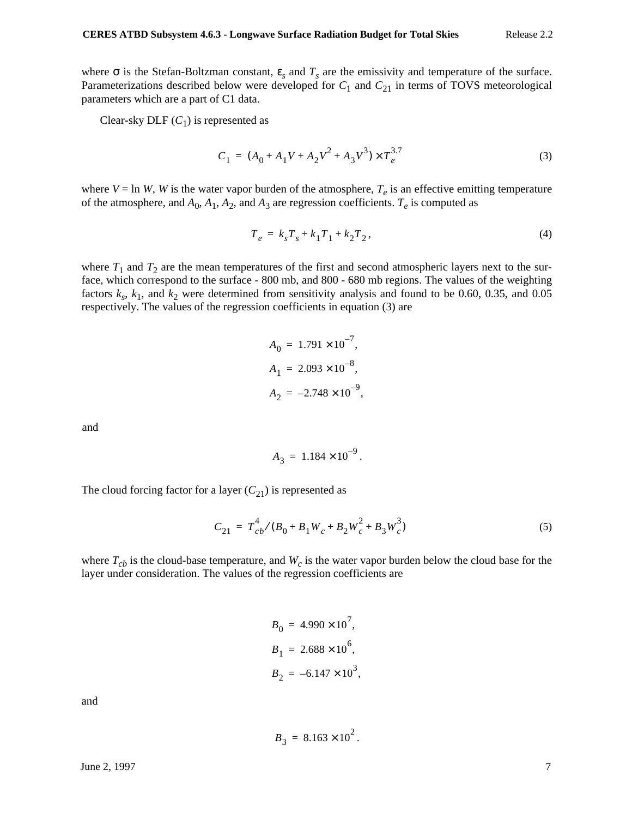where  $\sigma$  is the Stefan-Boltzman constant,  $\varepsilon_s$  and  $T_s$  are the emissivity and temperature of the surface. Parameterizations described below were developed for  $C_1$  and  $C_{21}$  in terms of TOVS meteorological parameters which are a part of C1 data.

Clear-sky DLF  $(C_1)$  is represented as

$$
C_1 = (A_0 + A_1 V + A_2 V^2 + A_3 V^3) \times T_e^{3.7}
$$
 (3)

where  $V = \ln W$ , *W* is the water vapor burden of the atmosphere,  $T_e$  is an effective emitting temperature of the atmosphere, and  $A_0$ ,  $A_1$ ,  $A_2$ , and  $A_3$  are regression coefficients.  $T_e$  is computed as

$$
T_e = k_s T_s + k_1 T_1 + k_2 T_2, \tag{4}
$$

where  $T_1$  and  $T_2$  are the mean temperatures of the first and second atmospheric layers next to the surface, which correspond to the surface - 800 mb, and 800 - 680 mb regions. The values of the weighting factors  $k_s$ ,  $k_1$ , and  $k_2$  were determined from sensitivity analysis and found to be 0.60, 0.35, and 0.05 respectively. The values of the regression coefficients in equation (3) are

$$
A_0 = 1.791 \times 10^{-7},
$$
  
\n
$$
A_1 = 2.093 \times 10^{-8},
$$
  
\n
$$
A_2 = -2.748 \times 10^{-9},
$$

and

$$
A_3 = 1.184 \times 10^{-9}.
$$

The cloud forcing factor for a layer  $(C_{21})$  is represented as

$$
C_{21} = T_{cb}^{4} / (B_0 + B_1 W_c + B_2 W_c^2 + B_3 W_c^3)
$$
 (5)

where  $T_{cb}$  is the cloud-base temperature, and  $W_c$  is the water vapor burden below the cloud base for the layer under consideration. The values of the regression coefficients are

$$
B_0 = 4.990 \times 10^7,
$$
  
\n
$$
B_1 = 2.688 \times 10^6,
$$
  
\n
$$
B_2 = -6.147 \times 10^3,
$$

and

 $B_3 = 8.163 \times 10^2$ .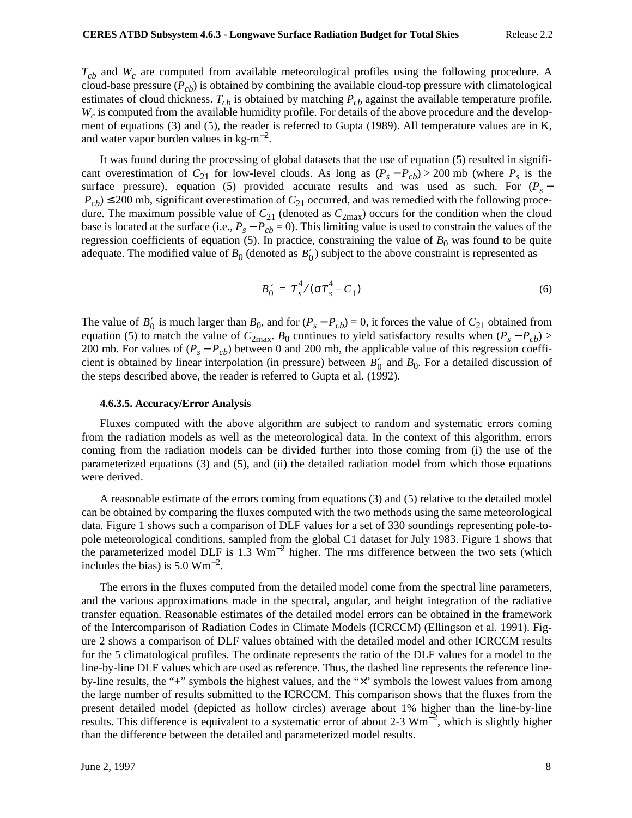$T_{cb}$  and W<sub>c</sub> are computed from available meteorological profiles using the following procedure. A cloud-base pressure  $(P_{cb})$  is obtained by combining the available cloud-top pressure with climatological estimates of cloud thickness.  $T_{cb}$  is obtained by matching  $P_{cb}$  against the available temperature profile.  $W_c$  is computed from the available humidity profile. For details of the above procedure and the development of equations (3) and (5), the reader is referred to Gupta (1989). All temperature values are in K, and water vapor burden values in  $\text{kg-m}^{-2}$ .

It was found during the processing of global datasets that the use of equation (5) resulted in significant overestimation of  $C_{21}$  for low-level clouds. As long as  $(P_s - P_{cb}) > 200$  mb (where  $P_s$  is the surface pressure), equation (5) provided accurate results and was used as such. For  $(P_s P_{cb}$ )  $\leq$  200 mb, significant overestimation of  $C_{21}$  occurred, and was remedied with the following procedure. The maximum possible value of  $C_{21}$  (denoted as  $C_{2max}$ ) occurs for the condition when the cloud base is located at the surface (i.e.,  $P_s - P_{cb} = 0$ ). This limiting value is used to constrain the values of the regression coefficients of equation (5). In practice, constraining the value of  $B_0$  was found to be quite adequate. The modified value of  $B_0$  (denoted as  $B'_0$ ) subject to the above constraint is represented as

$$
B_0' = T_s^4 / (\sigma T_s^4 - C_1)
$$
 (6)

The value of  $B'_0$  is much larger than  $B_0$ , and for  $(P_s - P_{cb}) = 0$ , it forces the value of  $C_{21}$  obtained from equation (5) to match the value of  $C_{2\text{max}}$ .  $B_0$  continues to yield satisfactory results when  $(P_s - P_{cb})$  > 200 mb. For values of  $(P_s - P_{cb})$  between 0 and 200 mb, the applicable value of this regression coefficient is obtained by linear interpolation (in pressure) between  $B'_0$  and  $B_0$ . For a detailed discussion of the steps described above, the reader is referred to Gupta et al. (1992).

#### **4.6.3.5. Accuracy/Error Analysis**

Fluxes computed with the above algorithm are subject to random and systematic errors coming from the radiation models as well as the meteorological data. In the context of this algorithm, errors coming from the radiation models can be divided further into those coming from (i) the use of the parameterized equations (3) and (5), and (ii) the detailed radiation model from which those equations were derived.

A reasonable estimate of the errors coming from equations (3) and (5) relative to the detailed model can be obtained by comparing the fluxes computed with the two methods using the same meteorological data. Figure 1 shows such a comparison of DLF values for a set of 330 soundings representing pole-topole meteorological conditions, sampled from the global C1 dataset for July 1983. Figure 1 shows that the parameterized model DLF is  $1.3 \text{ Wm}^{-2}$  higher. The rms difference between the two sets (which includes the bias) is  $5.0 \text{ Wm}^{-2}$ .

The errors in the fluxes computed from the detailed model come from the spectral line parameters, and the various approximations made in the spectral, angular, and height integration of the radiative transfer equation. Reasonable estimates of the detailed model errors can be obtained in the framework of the Intercomparison of Radiation Codes in Climate Models (ICRCCM) (Ellingson et al. 1991). Figure 2 shows a comparison of DLF values obtained with the detailed model and other ICRCCM results for the 5 climatological profiles. The ordinate represents the ratio of the DLF values for a model to the line-by-line DLF values which are used as reference. Thus, the dashed line represents the reference lineby-line results, the "+" symbols the highest values, and the "×" symbols the lowest values from among the large number of results submitted to the ICRCCM. This comparison shows that the fluxes from the present detailed model (depicted as hollow circles) average about 1% higher than the line-by-line results. This difference is equivalent to a systematic error of about 2-3  $Wm^{-2}$ , which is slightly higher than the difference between the detailed and parameterized model results.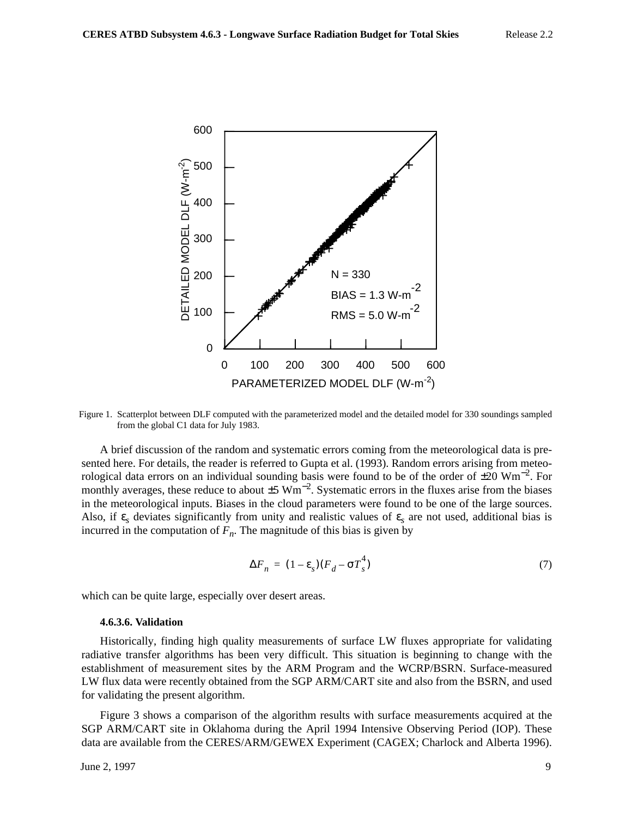

Figure 1. Scatterplot between DLF computed with the parameterized model and the detailed model for 330 soundings sampled from the global C1 data for July 1983.

A brief discussion of the random and systematic errors coming from the meteorological data is presented here. For details, the reader is referred to Gupta et al. (1993). Random errors arising from meteorological data errors on an individual sounding basis were found to be of the order of  $\pm 20$  Wm<sup>-2</sup>. For monthly averages, these reduce to about  $\pm 5 \text{ Wm}^{-2}$ . Systematic errors in the fluxes arise from the biases in the meteorological inputs. Biases in the cloud parameters were found to be one of the large sources. Also, if  $\varepsilon_s$  deviates significantly from unity and realistic values of  $\varepsilon_s$  are not used, additional bias is incurred in the computation of  $F_n$ . The magnitude of this bias is given by

$$
\Delta F_n = (1 - \varepsilon_s)(F_d - \sigma T_s^4) \tag{7}
$$

which can be quite large, especially over desert areas.

#### **4.6.3.6. Validation**

Historically, finding high quality measurements of surface LW fluxes appropriate for validating radiative transfer algorithms has been very difficult. This situation is beginning to change with the establishment of measurement sites by the ARM Program and the WCRP/BSRN. Surface-measured LW flux data were recently obtained from the SGP ARM/CART site and also from the BSRN, and used for validating the present algorithm.

Figure 3 shows a comparison of the algorithm results with surface measurements acquired at the SGP ARM/CART site in Oklahoma during the April 1994 Intensive Observing Period (IOP). These data are available from the CERES/ARM/GEWEX Experiment (CAGEX; Charlock and Alberta 1996).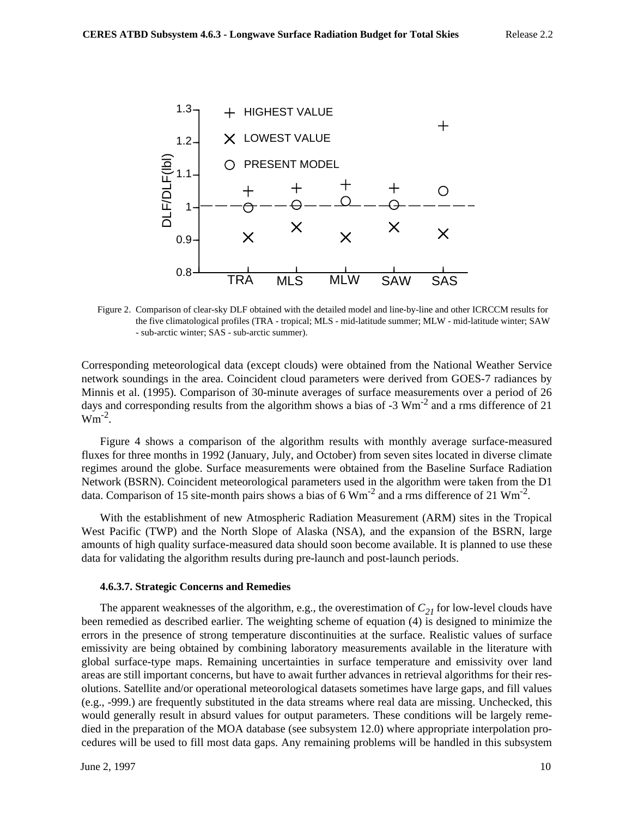

Figure 2. Comparison of clear-sky DLF obtained with the detailed model and line-by-line and other ICRCCM results for the five climatological profiles (TRA - tropical; MLS - mid-latitude summer; MLW - mid-latitude winter; SAW - sub-arctic winter; SAS - sub-arctic summer).

Corresponding meteorological data (except clouds) were obtained from the National Weather Service network soundings in the area. Coincident cloud parameters were derived from GOES-7 radiances by Minnis et al. (1995). Comparison of 30-minute averages of surface measurements over a period of 26 days and corresponding results from the algorithm shows a bias of -3  $\text{Wm}^2$  and a rms difference of 21  $Wm^{-2}$ .

Figure 4 shows a comparison of the algorithm results with monthly average surface-measured fluxes for three months in 1992 (January, July, and October) from seven sites located in diverse climate regimes around the globe. Surface measurements were obtained from the Baseline Surface Radiation Network (BSRN). Coincident meteorological parameters used in the algorithm were taken from the D1 data. Comparison of 15 site-month pairs shows a bias of 6  $Wm^{-2}$  and a rms difference of 21  $Wm^{-2}$ .

With the establishment of new Atmospheric Radiation Measurement (ARM) sites in the Tropical West Pacific (TWP) and the North Slope of Alaska (NSA), and the expansion of the BSRN, large amounts of high quality surface-measured data should soon become available. It is planned to use these data for validating the algorithm results during pre-launch and post-launch periods.

#### **4.6.3.7. Strategic Concerns and Remedies**

The apparent weaknesses of the algorithm, e.g., the overestimation of  $C_{21}$  for low-level clouds have been remedied as described earlier. The weighting scheme of equation (4) is designed to minimize the errors in the presence of strong temperature discontinuities at the surface. Realistic values of surface emissivity are being obtained by combining laboratory measurements available in the literature with global surface-type maps. Remaining uncertainties in surface temperature and emissivity over land areas are still important concerns, but have to await further advances in retrieval algorithms for their resolutions. Satellite and/or operational meteorological datasets sometimes have large gaps, and fill values (e.g., -999.) are frequently substituted in the data streams where real data are missing. Unchecked, this would generally result in absurd values for output parameters. These conditions will be largely remedied in the preparation of the MOA database (see subsystem 12.0) where appropriate interpolation procedures will be used to fill most data gaps. Any remaining problems will be handled in this subsystem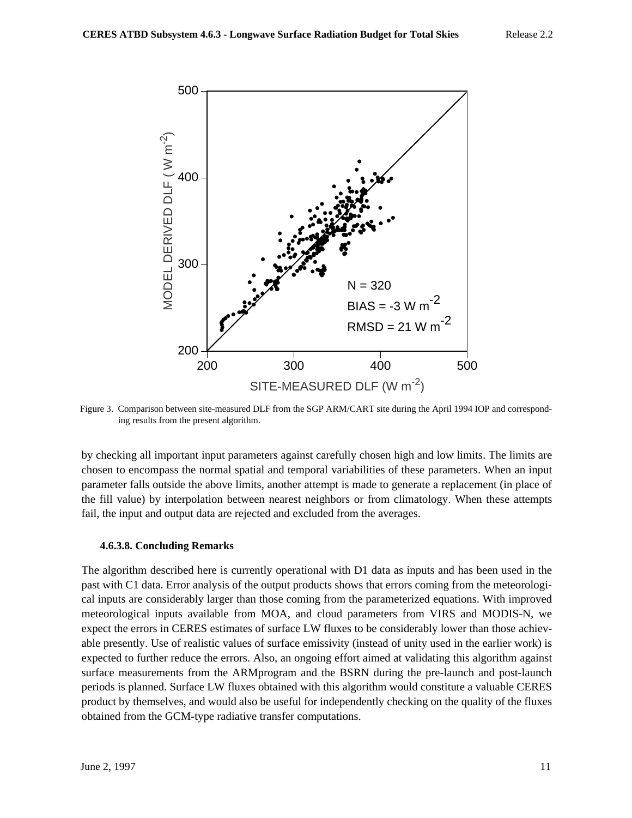

Figure 3. Comparison between site-measured DLF from the SGP ARM/CART site during the April 1994 IOP and corresponding results from the present algorithm.

by checking all important input parameters against carefully chosen high and low limits. The limits are chosen to encompass the normal spatial and temporal variabilities of these parameters. When an input parameter falls outside the above limits, another attempt is made to generate a replacement (in place of the fill value) by interpolation between nearest neighbors or from climatology. When these attempts fail, the input and output data are rejected and excluded from the averages.

## **4.6.3.8. Concluding Remarks**

The algorithm described here is currently operational with D1 data as inputs and has been used in the past with C1 data. Error analysis of the output products shows that errors coming from the meteorological inputs are considerably larger than those coming from the parameterized equations. With improved meteorological inputs available from MOA, and cloud parameters from VIRS and MODIS-N, we expect the errors in CERES estimates of surface LW fluxes to be considerably lower than those achievable presently. Use of realistic values of surface emissivity (instead of unity used in the earlier work) is expected to further reduce the errors. Also, an ongoing effort aimed at validating this algorithm against surface measurements from the ARM program and the BSRN during the pre-launch and post-launch periods is planned. Surface LW fluxes obtained with this algorithm would constitute a valuable CERES product by themselves, and would also be useful for independently checking on the quality of the fluxes obtained from the GCM-type radiative transfer computations.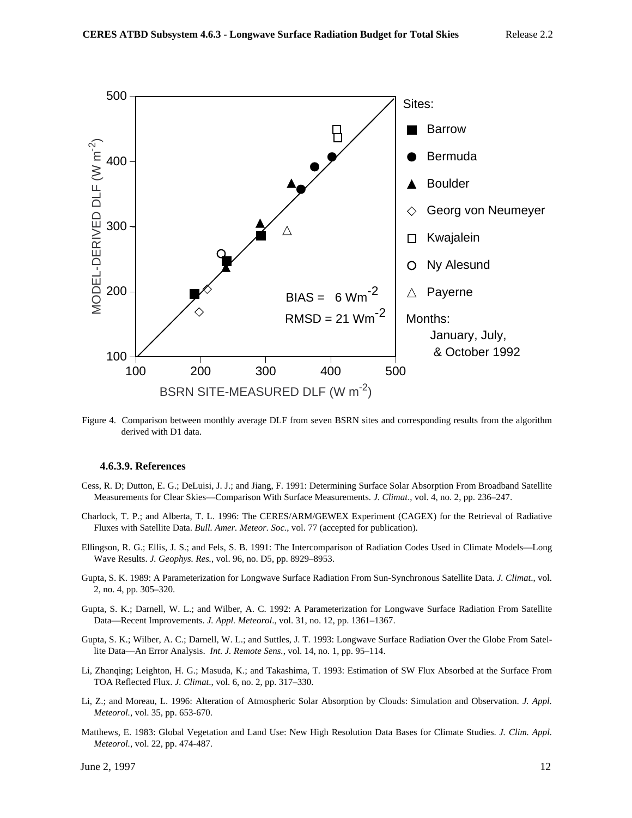

Figure 4. Comparison between monthly average DLF from seven BSRN sites and corresponding results from the algorithm derived with D1 data.

#### **4.6.3.9. References**

- Cess, R. D; Dutton, E. G.; DeLuisi, J. J.; and Jiang, F. 1991: Determining Surface Solar Absorption From Broadband Satellite Measurements for Clear Skies—Comparison With Surface Measurements. *J. Climat*., vol. 4, no. 2, pp. 236–247.
- Charlock, T. P.; and Alberta, T. L. 1996: The CERES/ARM/GEWEX Experiment (CAGEX) for the Retrieval of Radiative Fluxes with Satellite Data. *Bull. Amer. Meteor. Soc.*, vol. 77 (accepted for publication).
- Ellingson, R. G.; Ellis, J. S.; and Fels, S. B. 1991: The Intercomparison of Radiation Codes Used in Climate Models—Long Wave Results. *J. Geophys. Res.*, vol. 96, no. D5, pp. 8929–8953.
- Gupta, S. K. 1989: A Parameterization for Longwave Surface Radiation From Sun-Synchronous Satellite Data. *J. Climat*., vol. 2, no. 4, pp. 305–320.
- Gupta, S. K.; Darnell, W. L.; and Wilber, A. C. 1992: A Parameterization for Longwave Surface Radiation From Satellite Data—Recent Improvements. *J. Appl. Meteorol*., vol. 31, no. 12, pp. 1361–1367.
- Gupta, S. K.; Wilber, A. C.; Darnell, W. L.; and Suttles, J. T. 1993: Longwave Surface Radiation Over the Globe From Satellite Data—An Error Analysis. *Int. J. Remote Sens.*, vol. 14, no. 1, pp. 95–114.
- Li, Zhanqing; Leighton, H. G.; Masuda, K.; and Takashima, T. 1993: Estimation of SW Flux Absorbed at the Surface From TOA Reflected Flux. *J. Climat*., vol. 6, no. 2, pp. 317–330.
- Li, Z.; and Moreau, L. 1996: Alteration of Atmospheric Solar Absorption by Clouds: Simulation and Observation. *J. Appl. Meteorol.*, vol. 35, pp. 653-670.
- Matthews, E. 1983: Global Vegetation and Land Use: New High Resolution Data Bases for Climate Studies. *J. Clim. Appl. Meteorol.*, vol. 22, pp. 474-487.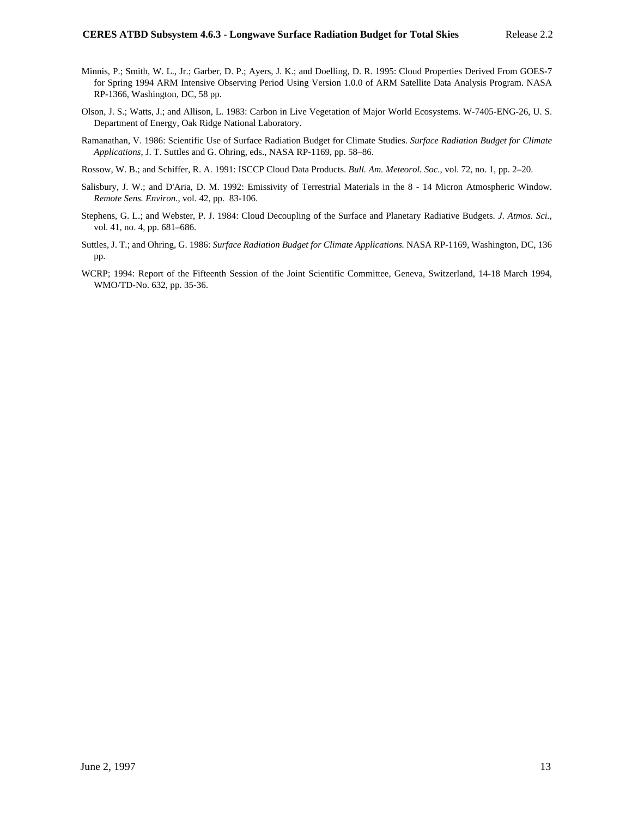- Minnis, P.; Smith, W. L., Jr.; Garber, D. P.; Ayers, J. K.; and Doelling, D. R. 1995: Cloud Properties Derived From GOES-7 for Spring 1994 ARM Intensive Observing Period Using Version 1.0.0 of ARM Satellite Data Analysis Program. NASA RP-1366, Washington, DC, 58 pp.
- Olson, J. S.; Watts, J.; and Allison, L. 1983: Carbon in Live Vegetation of Major World Ecosystems. W-7405-ENG-26, U. S. Department of Energy, Oak Ridge National Laboratory.
- Ramanathan, V. 1986: Scientific Use of Surface Radiation Budget for Climate Studies. *Surface Radiation Budget for Climate Applications*, J. T. Suttles and G. Ohring, eds., NASA RP-1169, pp. 58–86.
- Rossow, W. B.; and Schiffer, R. A. 1991: ISCCP Cloud Data Products. *Bull. Am. Meteorol. Soc*., vol. 72, no. 1, pp. 2–20.
- Salisbury, J. W.; and D'Aria, D. M. 1992: Emissivity of Terrestrial Materials in the 8 14 Micron Atmospheric Window. *Remote Sens. Environ.*, vol. 42, pp. 83-106.
- Stephens, G. L.; and Webster, P. J. 1984: Cloud Decoupling of the Surface and Planetary Radiative Budgets. *J. Atmos. Sci.*, vol. 41, no. 4, pp. 681–686.
- Suttles, J. T.; and Ohring, G. 1986: *Surface Radiation Budget for Climate Applications.* NASA RP-1169, Washington, DC, 136 pp.
- WCRP; 1994: Report of the Fifteenth Session of the Joint Scientific Committee, Geneva, Switzerland, 14-18 March 1994, WMO/TD-No. 632, pp. 35-36.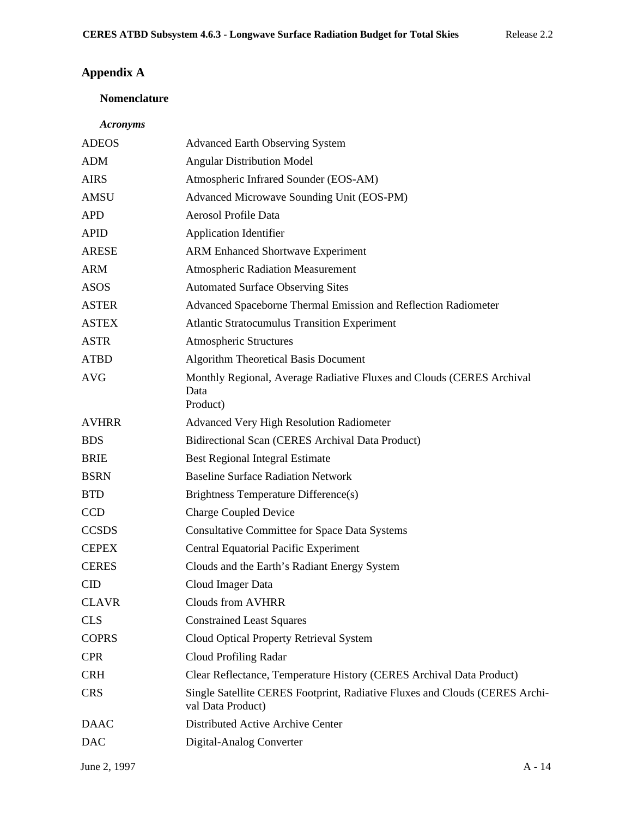# **Appendix A**

# **Nomenclature**

## *Acronyms*

| <b>ADEOS</b> | <b>Advanced Earth Observing System</b>                                                           |  |
|--------------|--------------------------------------------------------------------------------------------------|--|
| <b>ADM</b>   | <b>Angular Distribution Model</b>                                                                |  |
| <b>AIRS</b>  | Atmospheric Infrared Sounder (EOS-AM)                                                            |  |
| AMSU         | Advanced Microwave Sounding Unit (EOS-PM)                                                        |  |
| <b>APD</b>   | Aerosol Profile Data                                                                             |  |
| <b>APID</b>  | <b>Application Identifier</b>                                                                    |  |
| <b>ARESE</b> | <b>ARM Enhanced Shortwave Experiment</b>                                                         |  |
| <b>ARM</b>   | <b>Atmospheric Radiation Measurement</b>                                                         |  |
| <b>ASOS</b>  | <b>Automated Surface Observing Sites</b>                                                         |  |
| <b>ASTER</b> | Advanced Spaceborne Thermal Emission and Reflection Radiometer                                   |  |
| <b>ASTEX</b> | <b>Atlantic Stratocumulus Transition Experiment</b>                                              |  |
| <b>ASTR</b>  | <b>Atmospheric Structures</b>                                                                    |  |
| <b>ATBD</b>  | Algorithm Theoretical Basis Document                                                             |  |
| <b>AVG</b>   | Monthly Regional, Average Radiative Fluxes and Clouds (CERES Archival<br>Data<br>Product)        |  |
| <b>AVHRR</b> | <b>Advanced Very High Resolution Radiometer</b>                                                  |  |
| <b>BDS</b>   | Bidirectional Scan (CERES Archival Data Product)                                                 |  |
| <b>BRIE</b>  | <b>Best Regional Integral Estimate</b>                                                           |  |
| <b>BSRN</b>  | <b>Baseline Surface Radiation Network</b>                                                        |  |
| <b>BTD</b>   | Brightness Temperature Difference(s)                                                             |  |
| <b>CCD</b>   | <b>Charge Coupled Device</b>                                                                     |  |
| <b>CCSDS</b> | <b>Consultative Committee for Space Data Systems</b>                                             |  |
| <b>CEPEX</b> | <b>Central Equatorial Pacific Experiment</b>                                                     |  |
| <b>CERES</b> | Clouds and the Earth's Radiant Energy System                                                     |  |
| <b>CID</b>   | Cloud Imager Data                                                                                |  |
| <b>CLAVR</b> | <b>Clouds from AVHRR</b>                                                                         |  |
| <b>CLS</b>   | <b>Constrained Least Squares</b>                                                                 |  |
| <b>COPRS</b> | Cloud Optical Property Retrieval System                                                          |  |
| <b>CPR</b>   | <b>Cloud Profiling Radar</b>                                                                     |  |
| <b>CRH</b>   | Clear Reflectance, Temperature History (CERES Archival Data Product)                             |  |
| <b>CRS</b>   | Single Satellite CERES Footprint, Radiative Fluxes and Clouds (CERES Archi-<br>val Data Product) |  |
| <b>DAAC</b>  | Distributed Active Archive Center                                                                |  |
| <b>DAC</b>   | Digital-Analog Converter                                                                         |  |
| June 2, 1997 | $A - 14$                                                                                         |  |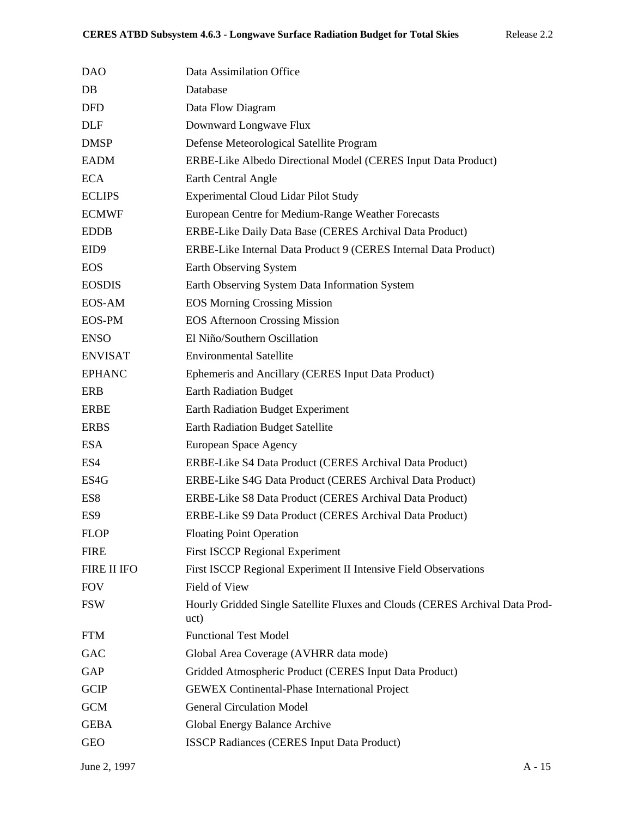| <b>DAO</b>       | Data Assimilation Office                                                             |
|------------------|--------------------------------------------------------------------------------------|
| $DB$             | Database                                                                             |
| <b>DFD</b>       | Data Flow Diagram                                                                    |
| <b>DLF</b>       | Downward Longwave Flux                                                               |
| <b>DMSP</b>      | Defense Meteorological Satellite Program                                             |
| <b>EADM</b>      | ERBE-Like Albedo Directional Model (CERES Input Data Product)                        |
| <b>ECA</b>       | Earth Central Angle                                                                  |
| <b>ECLIPS</b>    | <b>Experimental Cloud Lidar Pilot Study</b>                                          |
| <b>ECMWF</b>     | European Centre for Medium-Range Weather Forecasts                                   |
| <b>EDDB</b>      | ERBE-Like Daily Data Base (CERES Archival Data Product)                              |
| EID <sub>9</sub> | ERBE-Like Internal Data Product 9 (CERES Internal Data Product)                      |
| <b>EOS</b>       | Earth Observing System                                                               |
| <b>EOSDIS</b>    | Earth Observing System Data Information System                                       |
| EOS-AM           | <b>EOS Morning Crossing Mission</b>                                                  |
| EOS-PM           | <b>EOS Afternoon Crossing Mission</b>                                                |
| <b>ENSO</b>      | El Niño/Southern Oscillation                                                         |
| <b>ENVISAT</b>   | <b>Environmental Satellite</b>                                                       |
| <b>EPHANC</b>    | Ephemeris and Ancillary (CERES Input Data Product)                                   |
| <b>ERB</b>       | <b>Earth Radiation Budget</b>                                                        |
| <b>ERBE</b>      | <b>Earth Radiation Budget Experiment</b>                                             |
| <b>ERBS</b>      | Earth Radiation Budget Satellite                                                     |
| ESA              | European Space Agency                                                                |
| ES4              | ERBE-Like S4 Data Product (CERES Archival Data Product)                              |
| ES4G             | ERBE-Like S4G Data Product (CERES Archival Data Product)                             |
| ES8              | ERBE-Like S8 Data Product (CERES Archival Data Product)                              |
| ES <sub>9</sub>  | ERBE-Like S9 Data Product (CERES Archival Data Product)                              |
| <b>FLOP</b>      | <b>Floating Point Operation</b>                                                      |
| <b>FIRE</b>      | <b>First ISCCP Regional Experiment</b>                                               |
| FIRE II IFO      | First ISCCP Regional Experiment II Intensive Field Observations                      |
| <b>FOV</b>       | Field of View                                                                        |
| <b>FSW</b>       | Hourly Gridded Single Satellite Fluxes and Clouds (CERES Archival Data Prod-<br>uct) |
| <b>FTM</b>       | <b>Functional Test Model</b>                                                         |
| <b>GAC</b>       | Global Area Coverage (AVHRR data mode)                                               |
| <b>GAP</b>       | Gridded Atmospheric Product (CERES Input Data Product)                               |
| <b>GCIP</b>      | <b>GEWEX</b> Continental-Phase International Project                                 |
| <b>GCM</b>       | <b>General Circulation Model</b>                                                     |
| <b>GEBA</b>      | Global Energy Balance Archive                                                        |
| <b>GEO</b>       | <b>ISSCP Radiances (CERES Input Data Product)</b>                                    |
|                  |                                                                                      |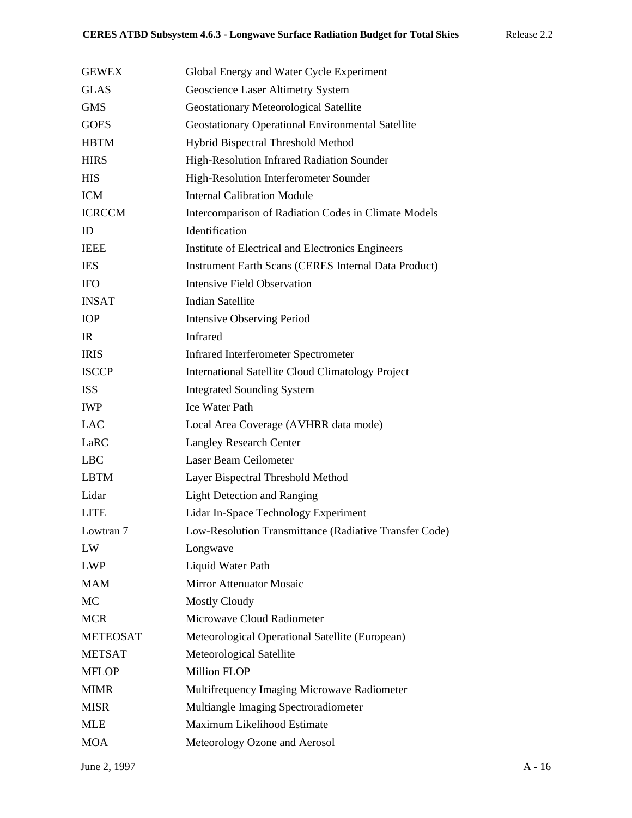| <b>GEWEX</b>    | Global Energy and Water Cycle Experiment                    |
|-----------------|-------------------------------------------------------------|
| <b>GLAS</b>     | Geoscience Laser Altimetry System                           |
| <b>GMS</b>      | <b>Geostationary Meteorological Satellite</b>               |
| <b>GOES</b>     | Geostationary Operational Environmental Satellite           |
| <b>HBTM</b>     | Hybrid Bispectral Threshold Method                          |
| <b>HIRS</b>     | High-Resolution Infrared Radiation Sounder                  |
| <b>HIS</b>      | High-Resolution Interferometer Sounder                      |
| <b>ICM</b>      | <b>Internal Calibration Module</b>                          |
| <b>ICRCCM</b>   | Intercomparison of Radiation Codes in Climate Models        |
| ID              | Identification                                              |
| <b>IEEE</b>     | Institute of Electrical and Electronics Engineers           |
| <b>IES</b>      | <b>Instrument Earth Scans (CERES Internal Data Product)</b> |
| <b>IFO</b>      | <b>Intensive Field Observation</b>                          |
| <b>INSAT</b>    | <b>Indian Satellite</b>                                     |
| <b>IOP</b>      | <b>Intensive Observing Period</b>                           |
| <b>IR</b>       | <b>Infrared</b>                                             |
| <b>IRIS</b>     | <b>Infrared Interferometer Spectrometer</b>                 |
| <b>ISCCP</b>    | <b>International Satellite Cloud Climatology Project</b>    |
| <b>ISS</b>      | <b>Integrated Sounding System</b>                           |
| <b>IWP</b>      | <b>Ice Water Path</b>                                       |
| <b>LAC</b>      | Local Area Coverage (AVHRR data mode)                       |
| LaRC            | <b>Langley Research Center</b>                              |
| <b>LBC</b>      | Laser Beam Ceilometer                                       |
| <b>LBTM</b>     | Layer Bispectral Threshold Method                           |
| Lidar           | <b>Light Detection and Ranging</b>                          |
| <b>LITE</b>     | Lidar In-Space Technology Experiment                        |
| Lowtran 7       | Low-Resolution Transmittance (Radiative Transfer Code)      |
| LW              | Longwave                                                    |
| <b>LWP</b>      | Liquid Water Path                                           |
| <b>MAM</b>      | Mirror Attenuator Mosaic                                    |
| <b>MC</b>       | <b>Mostly Cloudy</b>                                        |
| <b>MCR</b>      | Microwave Cloud Radiometer                                  |
| <b>METEOSAT</b> | Meteorological Operational Satellite (European)             |
| <b>METSAT</b>   | Meteorological Satellite                                    |
| <b>MFLOP</b>    | <b>Million FLOP</b>                                         |
| <b>MIMR</b>     | Multifrequency Imaging Microwave Radiometer                 |
| <b>MISR</b>     | Multiangle Imaging Spectroradiometer                        |
| <b>MLE</b>      | Maximum Likelihood Estimate                                 |
| <b>MOA</b>      | Meteorology Ozone and Aerosol                               |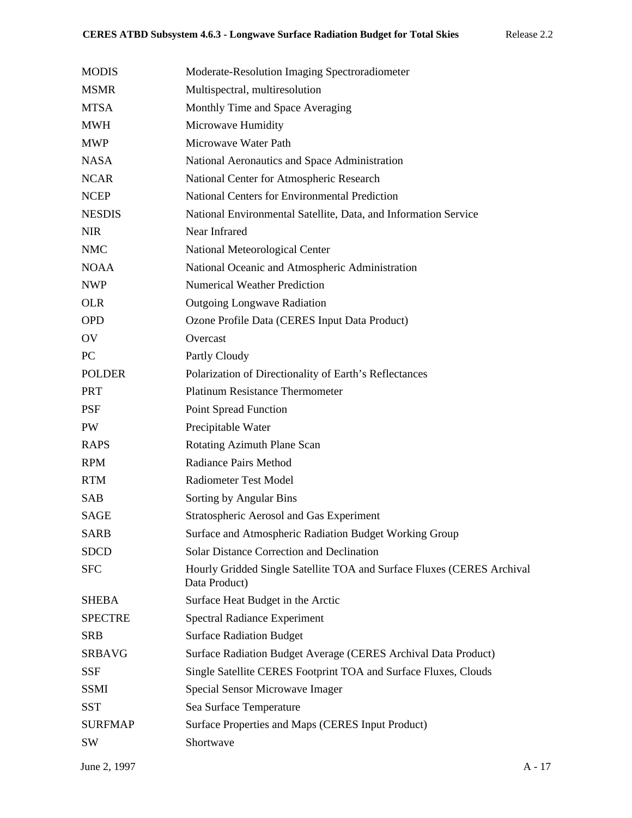| <b>MODIS</b>   | Moderate-Resolution Imaging Spectroradiometer                                           |
|----------------|-----------------------------------------------------------------------------------------|
| <b>MSMR</b>    | Multispectral, multiresolution                                                          |
| <b>MTSA</b>    | Monthly Time and Space Averaging                                                        |
| <b>MWH</b>     | Microwave Humidity                                                                      |
| <b>MWP</b>     | Microwave Water Path                                                                    |
| <b>NASA</b>    | National Aeronautics and Space Administration                                           |
| <b>NCAR</b>    | National Center for Atmospheric Research                                                |
| <b>NCEP</b>    | <b>National Centers for Environmental Prediction</b>                                    |
| <b>NESDIS</b>  | National Environmental Satellite, Data, and Information Service                         |
| <b>NIR</b>     | Near Infrared                                                                           |
| <b>NMC</b>     | National Meteorological Center                                                          |
| <b>NOAA</b>    | National Oceanic and Atmospheric Administration                                         |
| <b>NWP</b>     | <b>Numerical Weather Prediction</b>                                                     |
| <b>OLR</b>     | <b>Outgoing Longwave Radiation</b>                                                      |
| <b>OPD</b>     | Ozone Profile Data (CERES Input Data Product)                                           |
| OV             | Overcast                                                                                |
| PC             | Partly Cloudy                                                                           |
| <b>POLDER</b>  | Polarization of Directionality of Earth's Reflectances                                  |
| <b>PRT</b>     | <b>Platinum Resistance Thermometer</b>                                                  |
| <b>PSF</b>     | <b>Point Spread Function</b>                                                            |
| PW             | Precipitable Water                                                                      |
| <b>RAPS</b>    | Rotating Azimuth Plane Scan                                                             |
| <b>RPM</b>     | Radiance Pairs Method                                                                   |
| <b>RTM</b>     | <b>Radiometer Test Model</b>                                                            |
| <b>SAB</b>     | Sorting by Angular Bins                                                                 |
| <b>SAGE</b>    | <b>Stratospheric Aerosol and Gas Experiment</b>                                         |
| <b>SARB</b>    | Surface and Atmospheric Radiation Budget Working Group                                  |
| <b>SDCD</b>    | <b>Solar Distance Correction and Declination</b>                                        |
| <b>SFC</b>     | Hourly Gridded Single Satellite TOA and Surface Fluxes (CERES Archival<br>Data Product) |
| <b>SHEBA</b>   | Surface Heat Budget in the Arctic                                                       |
| <b>SPECTRE</b> | <b>Spectral Radiance Experiment</b>                                                     |
| <b>SRB</b>     | <b>Surface Radiation Budget</b>                                                         |
| <b>SRBAVG</b>  | Surface Radiation Budget Average (CERES Archival Data Product)                          |
| <b>SSF</b>     | Single Satellite CERES Footprint TOA and Surface Fluxes, Clouds                         |
| <b>SSMI</b>    | Special Sensor Microwave Imager                                                         |
| <b>SST</b>     | Sea Surface Temperature                                                                 |
| <b>SURFMAP</b> | Surface Properties and Maps (CERES Input Product)                                       |
| SW             | Shortwave                                                                               |
|                |                                                                                         |

June 2, 1997 A - 17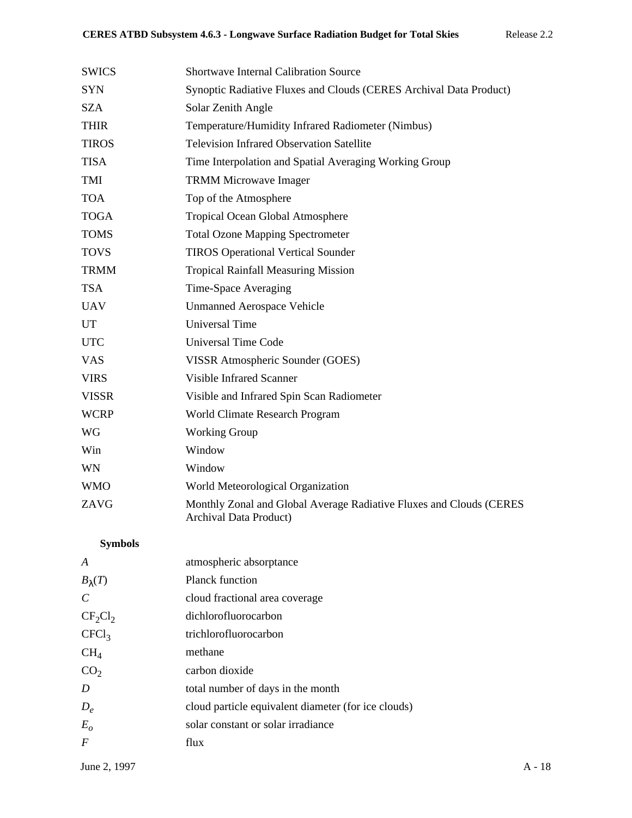| <b>SWICS</b>          | <b>Shortwave Internal Calibration Source</b>                                                  |
|-----------------------|-----------------------------------------------------------------------------------------------|
| <b>SYN</b>            | Synoptic Radiative Fluxes and Clouds (CERES Archival Data Product)                            |
| <b>SZA</b>            | Solar Zenith Angle                                                                            |
| <b>THIR</b>           | Temperature/Humidity Infrared Radiometer (Nimbus)                                             |
| <b>TIROS</b>          | <b>Television Infrared Observation Satellite</b>                                              |
| <b>TISA</b>           | Time Interpolation and Spatial Averaging Working Group                                        |
| <b>TMI</b>            | <b>TRMM Microwave Imager</b>                                                                  |
| <b>TOA</b>            | Top of the Atmosphere                                                                         |
| <b>TOGA</b>           | Tropical Ocean Global Atmosphere                                                              |
| <b>TOMS</b>           | <b>Total Ozone Mapping Spectrometer</b>                                                       |
| <b>TOVS</b>           | <b>TIROS Operational Vertical Sounder</b>                                                     |
| <b>TRMM</b>           | <b>Tropical Rainfall Measuring Mission</b>                                                    |
| <b>TSA</b>            | Time-Space Averaging                                                                          |
| <b>UAV</b>            | <b>Unmanned Aerospace Vehicle</b>                                                             |
| UT                    | <b>Universal Time</b>                                                                         |
| <b>UTC</b>            | <b>Universal Time Code</b>                                                                    |
| <b>VAS</b>            | VISSR Atmospheric Sounder (GOES)                                                              |
| <b>VIRS</b>           | <b>Visible Infrared Scanner</b>                                                               |
| <b>VISSR</b>          | Visible and Infrared Spin Scan Radiometer                                                     |
| <b>WCRP</b>           | World Climate Research Program                                                                |
| <b>WG</b>             | <b>Working Group</b>                                                                          |
| Win                   | Window                                                                                        |
| <b>WN</b>             | Window                                                                                        |
| <b>WMO</b>            | World Meteorological Organization                                                             |
| ZAVG                  | Monthly Zonal and Global Average Radiative Fluxes and Clouds (CERES<br>Archival Data Product) |
| <b>Symbols</b>        |                                                                                               |
| A                     | atmospheric absorptance                                                                       |
| $B_{\lambda}(T)$      | Planck function                                                                               |
| $\mathcal{C}_{0}^{0}$ | cloud fractional area coverage                                                                |
| $CF_2Cl_2$            | dichlorofluorocarbon                                                                          |
| CFCl <sub>3</sub>     | trichlorofluorocarbon                                                                         |
| CH <sub>4</sub>       | methane                                                                                       |
| CO <sub>2</sub>       | carbon dioxide                                                                                |
| D                     | total number of days in the month                                                             |
| $D_e$                 | cloud particle equivalent diameter (for ice clouds)                                           |

- *Eo* solar constant or solar irradiance
- *F* flux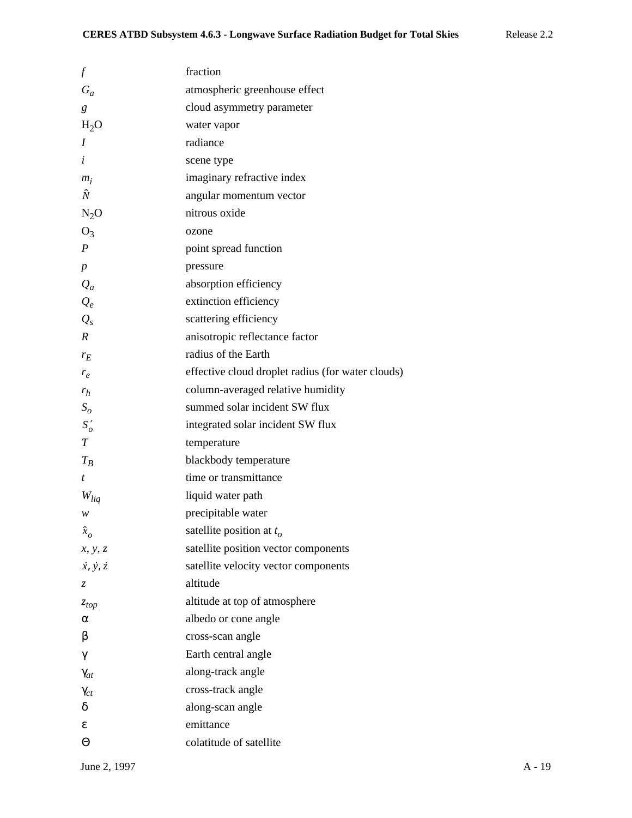| $\boldsymbol{f}$            | fraction                                          |
|-----------------------------|---------------------------------------------------|
| $G_a$                       | atmospheric greenhouse effect                     |
| g                           | cloud asymmetry parameter                         |
| $H_2O$                      | water vapor                                       |
| I                           | radiance                                          |
| i                           | scene type                                        |
| $m_i$                       | imaginary refractive index                        |
| Ñ                           | angular momentum vector                           |
| $N_2O$                      | nitrous oxide                                     |
| $O_3$                       | ozone                                             |
| $\boldsymbol{P}$            | point spread function                             |
| $\boldsymbol{p}$            | pressure                                          |
| $Q_a$                       | absorption efficiency                             |
| $Q_e$                       | extinction efficiency                             |
| $Q_{s}$                     | scattering efficiency                             |
| $\boldsymbol{R}$            | anisotropic reflectance factor                    |
| $r_E$                       | radius of the Earth                               |
| $r_e$                       | effective cloud droplet radius (for water clouds) |
| $r_h$                       | column-averaged relative humidity                 |
| $S_{\rm o}$                 | summed solar incident SW flux                     |
| $S'_{o}$                    | integrated solar incident SW flux                 |
| $\, T \,$                   | temperature                                       |
| $T_B$                       | blackbody temperature                             |
| t                           | time or transmittance                             |
| $W_{liq}$                   | liquid water path                                 |
| w                           | precipitable water                                |
| $\hat{x}_o$                 | satellite position at $t_o$                       |
| x, y, z                     | satellite position vector components              |
| $\dot{x}, \dot{y}, \dot{z}$ | satellite velocity vector components              |
| Z.                          | altitude                                          |
| $z_{top}$                   | altitude at top of atmosphere                     |
| α                           | albedo or cone angle                              |
| β                           | cross-scan angle                                  |
| γ                           | Earth central angle                               |
| $\gamma_{at}$               | along-track angle                                 |
| $\gamma_{ct}$               | cross-track angle                                 |
| δ                           | along-scan angle                                  |
| ε                           | emittance                                         |
| Θ                           | colatitude of satellite                           |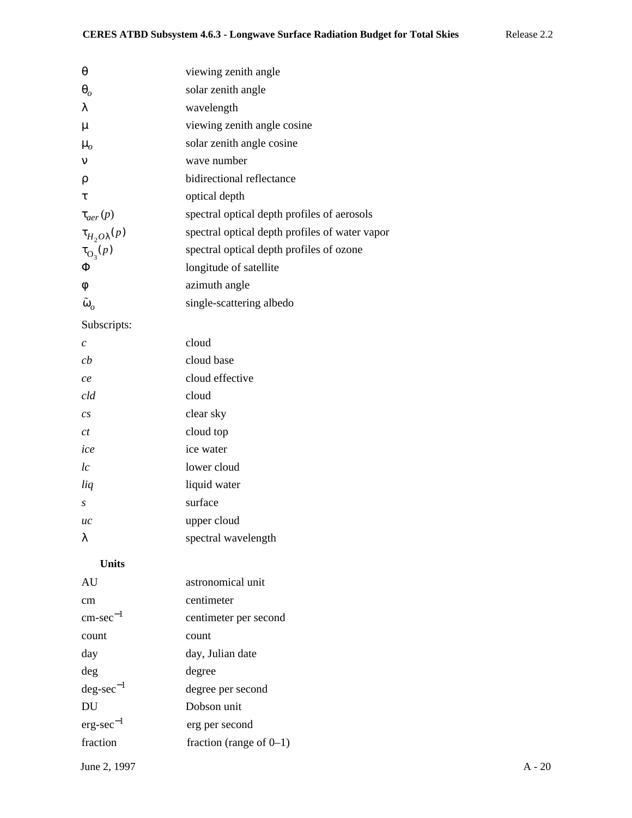| θ                         | viewing zenith angle                           |
|---------------------------|------------------------------------------------|
| $\boldsymbol{\theta}_{o}$ | solar zenith angle                             |
| λ                         | wavelength                                     |
| μ                         | viewing zenith angle cosine                    |
| $\mu_{o}$                 | solar zenith angle cosine                      |
| ν                         | wave number                                    |
| ρ                         | bidirectional reflectance                      |
| τ                         | optical depth                                  |
| $\tau_{aer}(p)$           | spectral optical depth profiles of aerosols    |
| $\tau_{H_2O\lambda}(p)$   | spectral optical depth profiles of water vapor |
| $\tau_{\mathcal{O}_3}(p)$ | spectral optical depth profiles of ozone       |
| Φ                         | longitude of satellite                         |
| φ                         | azimuth angle                                  |
| $\tilde{\omega}_o$        | single-scattering albedo                       |
| Subscripts:               |                                                |
| $\mathcal{C}$             | cloud                                          |
| cb                        | cloud base                                     |
| ce                        | cloud effective                                |
| cld                       | cloud                                          |
| cs                        | clear sky                                      |
| ct                        | cloud top                                      |
| ice                       | ice water                                      |
| l c                       | lower cloud                                    |
| liq                       | liquid water                                   |
| S                         | surface                                        |
| иc                        | upper cloud                                    |
| λ                         | spectral wavelength                            |
| <b>Units</b>              |                                                |
| AU                        | astronomical unit                              |
| cm                        | centimeter                                     |
| $cm\text{-}sec^{-1}$      | centimeter per second                          |
| count                     | count                                          |
| day                       | day, Julian date                               |
| deg                       | degree                                         |
| $deg\text{-}sec^{-1}$     | degree per second                              |
| DU                        | Dobson unit                                    |
| $erg\text{-}sec^{-1}$     | erg per second                                 |
|                           |                                                |

June 2, 1997 A - 20

fraction fraction (range of 0–1)